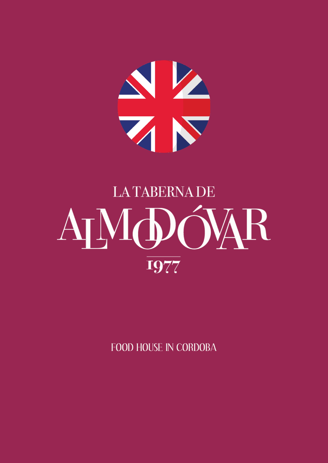

## **LA TABERNA DE** AJMOÓVAR 1977

FOOD HOUSE IN CORDOBA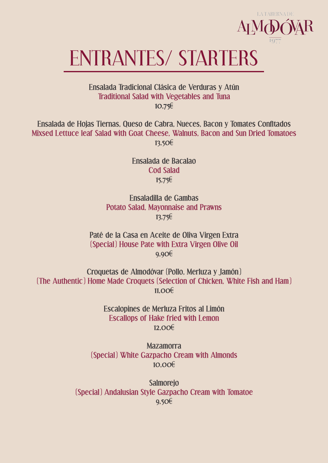

## ENTRANTES/ STARTERS

**Ensalada Tradicional Clásica de Verduras y Atún Traditional Salad with Vegetables and Tuna 10,75€**

**Ensalada de Hojas Tiernas, Queso de Cabra, Nueces, Bacon y Tomates Confitados Mixsed Lettuce leaf Salad with Goat Cheese, Walnuts, Bacon and Sun Dried Tomatoes 13,50€**

> **Ensalada de Bacalao Cod Salad 15,75€**

**Ensaladilla de Gambas Potato Salad, Mayonnaise and Prawns 13,75€**

**Paté de la Casa en Aceite de Oliva Virgen Extra (Special) House Pate with Extra Virgen Olive Oil 9,90€**

**Croquetas de Almodóvar (Pollo, Merluza y Jamón) (The Authentic) Home Made Croquets (Selection of Chicken, White Fish and Ham) 11,00€**

> **Escalopines de Merluza Fritos al Limón Escallops of Hake fried with Lemon 12,00€**

**Mazamorra (Special) White Gazpacho Cream with Almonds 10,00€**

**Salmorejo (Special) Andalusian Style Gazpacho Cream with Tomatoe 9,50€**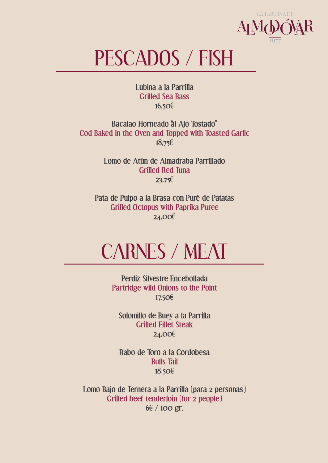

## PESCADOS / FISH

**Lubina a la Parrilla Grilled Sea Bass 16,50€**

**Bacalao Horneado al Ajo Tostado" Cod Baked in the Oven and Topped with Toasted Garlic 18,75€**

> **Lomo de Atún de Almadraba Parrillado Grilled Red Tuna 23,75€**

**Pata de Pulpo a la Brasa con Puré de Patatas Grilled Octopus with Paprika Puree 24,00€**

## CARNES / MEAT

**Perdíz Silvestre Encebollada Partridge wild Onions to the Point 17,50€**

**Solomillo de Buey a la Parrilla Grilled Fillet Steak 24,00€**

**Rabo de Toro a la Cordobesa Bulls Tail 18,50€**

**Lomo Bajo de Ternera a la Parrilla (para 2 personas) Grilled beef tenderloin (for 2 people) 6€ / 100 gr.**